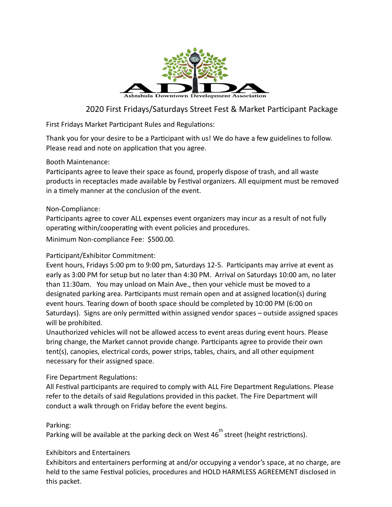

# 2020 First Fridays/Saturdays Street Fest & Market Participant Package

First Fridays Market Participant Rules and Regulations:

Thank you for your desire to be a Participant with us! We do have a few guidelines to follow. Please read and note on application that you agree.

#### Booth Maintenance:

Participants agree to leave their space as found, properly dispose of trash, and all waste products in receptacles made available by Festival organizers. All equipment must be removed in a timely manner at the conclusion of the event.

#### Non-Compliance:

Participants agree to cover ALL expenses event organizers may incur as a result of not fully operating within/cooperating with event policies and procedures.

Minimum Non-compliance Fee: \$500.00.

## Participant/Exhibitor Commitment:

Event hours, Fridays 5:00 pm to 9:00 pm, Saturdays 12-5. Participants may arrive at event as early as 3:00 PM for setup but no later than 4:30 PM. Arrival on Saturdays 10:00 am, no later than 11:30am. You may unload on Main Ave., then your vehicle must be moved to a designated parking area. Participants must remain open and at assigned location(s) during event hours. Tearing down of booth space should be completed by 10:00 PM (6:00 on Saturdays). Signs are only permitted within assigned vendor spaces – outside assigned spaces will be prohibited.

Unauthorized vehicles will not be allowed access to event areas during event hours. Please bring change, the Market cannot provide change. Participants agree to provide their own tent(s), canopies, electrical cords, power strips, tables, chairs, and all other equipment necessary for their assigned space.

## Fire Department Regulations:

All Festival participants are required to comply with ALL Fire Department Regulations. Please refer to the details of said Regulations provided in this packet. The Fire Department will conduct a walk through on Friday before the event begins.

## Parking:

Parking will be available at the parking deck on West  $46<sup>th</sup>$  street (height restrictions).

## Exhibitors and Entertainers

Exhibitors and entertainers performing at and/or occupying a vendor's space, at no charge, are held to the same Festival policies, procedures and HOLD HARMLESS AGREEMENT disclosed in this packet.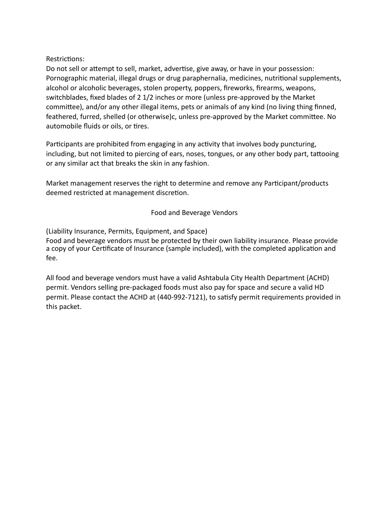#### Restrictions:

Do not sell or attempt to sell, market, advertise, give away, or have in your possession: Pornographic material, illegal drugs or drug paraphernalia, medicines, nutritional supplements, alcohol or alcoholic beverages, stolen property, poppers, fireworks, firearms, weapons, switchblades, fixed blades of 2 1/2 inches or more (unless pre-approved by the Market committee), and/or any other illegal items, pets or animals of any kind (no living thing finned, feathered, furred, shelled (or otherwise)c, unless pre-approved by the Market committee. No automobile fluids or oils, or tires.

Participants are prohibited from engaging in any activity that involves body puncturing, including, but not limited to piercing of ears, noses, tongues, or any other body part, tattooing or any similar act that breaks the skin in any fashion.

Market management reserves the right to determine and remove any Participant/products deemed restricted at management discretion.

## Food and Beverage Vendors

(Liability Insurance, Permits, Equipment, and Space)

Food and beverage vendors must be protected by their own liability insurance. Please provide a copy of your Certificate of Insurance (sample included), with the completed application and fee.

All food and beverage vendors must have a valid Ashtabula City Health Department (ACHD) permit. Vendors selling pre-packaged foods must also pay for space and secure a valid HD permit. Please contact the ACHD at (440-992-7121), to satisfy permit requirements provided in this packet.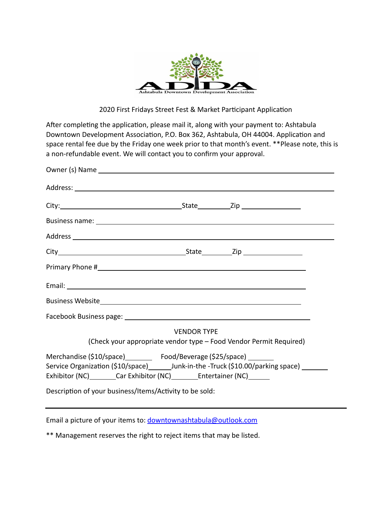

#### 2020 First Fridays Street Fest & Market Participant Application

After completing the application, please mail it, along with your payment to: Ashtabula Downtown Development Association, P.O. Box 362, Ashtabula, OH 44004. Application and space rental fee due by the Friday one week prior to that month's event. \*\*Please note, this is a non-refundable event. We will contact you to confirm your approval.

|                                                                                 | <b>VENDOR TYPE</b> |                                                                    |
|---------------------------------------------------------------------------------|--------------------|--------------------------------------------------------------------|
|                                                                                 |                    | (Check your appropriate vendor type - Food Vendor Permit Required) |
| Merchandise (\$10/space) Food/Beverage (\$25/space) ______                      |                    |                                                                    |
|                                                                                 |                    |                                                                    |
| Exhibitor (NC) _________Car Exhibitor (NC) ___________Entertainer (NC) ________ |                    |                                                                    |
| Description of your business/Items/Activity to be sold:                         |                    |                                                                    |

Email a picture of your items to: [downtownashtabula@outlook.com](mailto:downtownashtabula@outlook.com)

\*\* Management reserves the right to reject items that may be listed.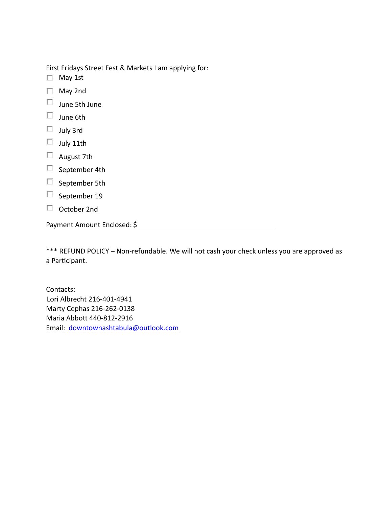First Fridays Street Fest & Markets I am applying for:

- $\Box$  May 1st
- May 2nd
- $\square$  June 5th June
- $\Box$  June 6th
- $\Box$  July 3rd
- $\Box$  July 11th
- $\Box$  August 7th
- $\square$  September 4th
- $\square$  September 5th
- $\Box$  September 19
- October 2nd

Payment Amount Enclosed: \$

\*\*\* REFUND POLICY – Non-refundable. We will not cash your check unless you are approved as a Participant.

Contacts: Lori Albrecht 216-401-4941 Marty Cephas 216-262-0138 Maria Abbott 440-812-2916 Email: [downtownashtabula@outlook.com](mailto:downtownashtabula@outlook.com)